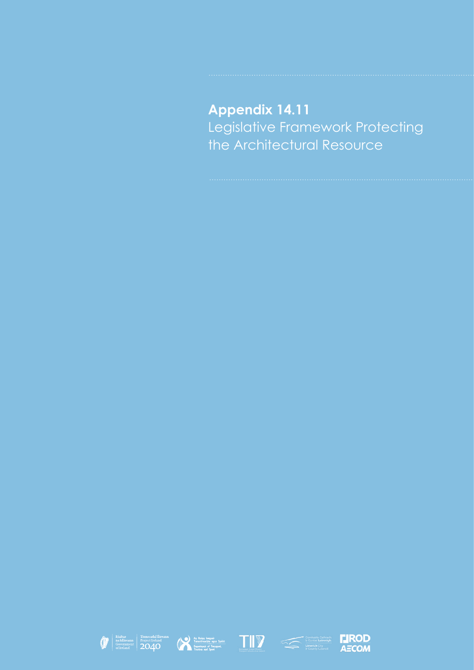# **Appendix 14.11** Legislative Framework Protecting the Architectural Resource









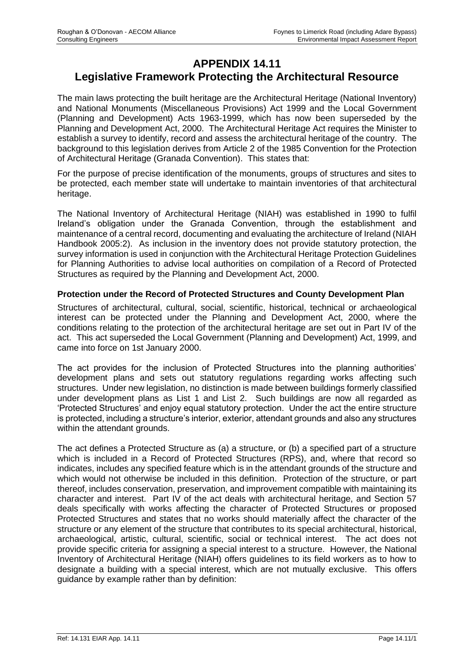# **APPENDIX 14.11 Legislative Framework Protecting the Architectural Resource**

The main laws protecting the built heritage are the Architectural Heritage (National Inventory) and National Monuments (Miscellaneous Provisions) Act 1999 and the Local Government (Planning and Development) Acts 1963-1999, which has now been superseded by the Planning and Development Act, 2000. The Architectural Heritage Act requires the Minister to establish a survey to identify, record and assess the architectural heritage of the country. The background to this legislation derives from Article 2 of the 1985 Convention for the Protection of Architectural Heritage (Granada Convention). This states that:

For the purpose of precise identification of the monuments, groups of structures and sites to be protected, each member state will undertake to maintain inventories of that architectural heritage.

The National Inventory of Architectural Heritage (NIAH) was established in 1990 to fulfil Ireland's obligation under the Granada Convention, through the establishment and maintenance of a central record, documenting and evaluating the architecture of Ireland (NIAH Handbook 2005:2). As inclusion in the inventory does not provide statutory protection, the survey information is used in conjunction with the Architectural Heritage Protection Guidelines for Planning Authorities to advise local authorities on compilation of a Record of Protected Structures as required by the Planning and Development Act, 2000.

# **Protection under the Record of Protected Structures and County Development Plan**

Structures of architectural, cultural, social, scientific, historical, technical or archaeological interest can be protected under the Planning and Development Act, 2000, where the conditions relating to the protection of the architectural heritage are set out in Part IV of the act. This act superseded the Local Government (Planning and Development) Act, 1999, and came into force on 1st January 2000.

The act provides for the inclusion of Protected Structures into the planning authorities' development plans and sets out statutory regulations regarding works affecting such structures. Under new legislation, no distinction is made between buildings formerly classified under development plans as List 1 and List 2. Such buildings are now all regarded as 'Protected Structures' and enjoy equal statutory protection. Under the act the entire structure is protected, including a structure's interior, exterior, attendant grounds and also any structures within the attendant grounds.

The act defines a Protected Structure as (a) a structure, or (b) a specified part of a structure which is included in a Record of Protected Structures (RPS), and, where that record so indicates, includes any specified feature which is in the attendant grounds of the structure and which would not otherwise be included in this definition. Protection of the structure, or part thereof, includes conservation, preservation, and improvement compatible with maintaining its character and interest. Part IV of the act deals with architectural heritage, and Section 57 deals specifically with works affecting the character of Protected Structures or proposed Protected Structures and states that no works should materially affect the character of the structure or any element of the structure that contributes to its special architectural, historical, archaeological, artistic, cultural, scientific, social or technical interest. The act does not provide specific criteria for assigning a special interest to a structure. However, the National Inventory of Architectural Heritage (NIAH) offers guidelines to its field workers as to how to designate a building with a special interest, which are not mutually exclusive. This offers guidance by example rather than by definition: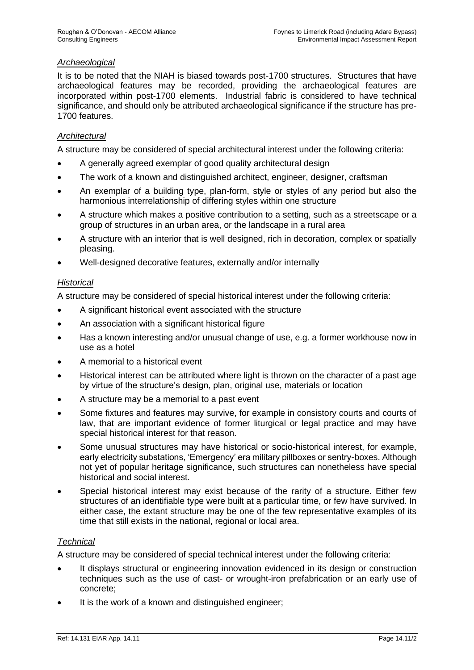# *Archaeological*

It is to be noted that the NIAH is biased towards post-1700 structures. Structures that have archaeological features may be recorded, providing the archaeological features are incorporated within post-1700 elements. Industrial fabric is considered to have technical significance, and should only be attributed archaeological significance if the structure has pre-1700 features.

# *Architectural*

A structure may be considered of special architectural interest under the following criteria:

- A generally agreed exemplar of good quality architectural design
- The work of a known and distinguished architect, engineer, designer, craftsman
- An exemplar of a building type, plan-form, style or styles of any period but also the harmonious interrelationship of differing styles within one structure
- A structure which makes a positive contribution to a setting, such as a streetscape or a group of structures in an urban area, or the landscape in a rural area
- A structure with an interior that is well designed, rich in decoration, complex or spatially pleasing.
- Well-designed decorative features, externally and/or internally

#### *Historical*

A structure may be considered of special historical interest under the following criteria:

- A significant historical event associated with the structure
- An association with a significant historical figure
- Has a known interesting and/or unusual change of use, e.g. a former workhouse now in use as a hotel
- A memorial to a historical event
- Historical interest can be attributed where light is thrown on the character of a past age by virtue of the structure's design, plan, original use, materials or location
- A structure may be a memorial to a past event
- Some fixtures and features may survive, for example in consistory courts and courts of law, that are important evidence of former liturgical or legal practice and may have special historical interest for that reason.
- Some unusual structures may have historical or socio-historical interest, for example, early electricity substations, 'Emergency' era military pillboxes or sentry-boxes. Although not yet of popular heritage significance, such structures can nonetheless have special historical and social interest.
- Special historical interest may exist because of the rarity of a structure. Either few structures of an identifiable type were built at a particular time, or few have survived. In either case, the extant structure may be one of the few representative examples of its time that still exists in the national, regional or local area.

#### *Technical*

A structure may be considered of special technical interest under the following criteria:

- It displays structural or engineering innovation evidenced in its design or construction techniques such as the use of cast- or wrought-iron prefabrication or an early use of concrete;
- It is the work of a known and distinguished engineer;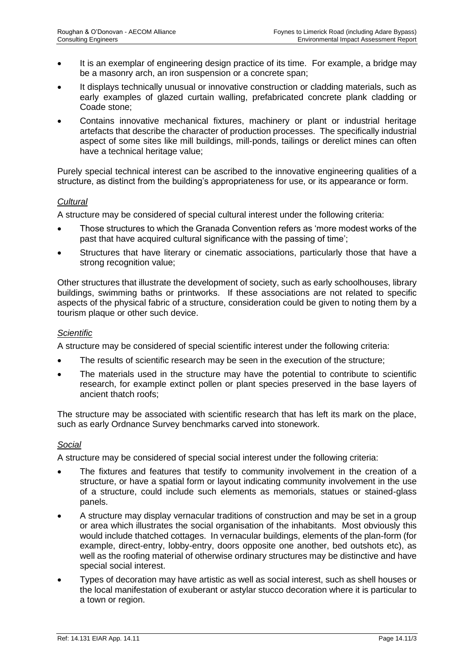- It is an exemplar of engineering design practice of its time. For example, a bridge may be a masonry arch, an iron suspension or a concrete span;
- It displays technically unusual or innovative construction or cladding materials, such as early examples of glazed curtain walling, prefabricated concrete plank cladding or Coade stone;
- Contains innovative mechanical fixtures, machinery or plant or industrial heritage artefacts that describe the character of production processes. The specifically industrial aspect of some sites like mill buildings, mill-ponds, tailings or derelict mines can often have a technical heritage value;

Purely special technical interest can be ascribed to the innovative engineering qualities of a structure, as distinct from the building's appropriateness for use, or its appearance or form.

# *Cultural*

A structure may be considered of special cultural interest under the following criteria:

- Those structures to which the Granada Convention refers as 'more modest works of the past that have acquired cultural significance with the passing of time';
- Structures that have literary or cinematic associations, particularly those that have a strong recognition value;

Other structures that illustrate the development of society, such as early schoolhouses, library buildings, swimming baths or printworks. If these associations are not related to specific aspects of the physical fabric of a structure, consideration could be given to noting them by a tourism plaque or other such device.

# *Scientific*

A structure may be considered of special scientific interest under the following criteria:

- The results of scientific research may be seen in the execution of the structure;
- The materials used in the structure may have the potential to contribute to scientific research, for example extinct pollen or plant species preserved in the base layers of ancient thatch roofs;

The structure may be associated with scientific research that has left its mark on the place, such as early Ordnance Survey benchmarks carved into stonework.

#### *Social*

A structure may be considered of special social interest under the following criteria:

- The fixtures and features that testify to community involvement in the creation of a structure, or have a spatial form or layout indicating community involvement in the use of a structure, could include such elements as memorials, statues or stained-glass panels.
- A structure may display vernacular traditions of construction and may be set in a group or area which illustrates the social organisation of the inhabitants. Most obviously this would include thatched cottages. In vernacular buildings, elements of the plan-form (for example, direct-entry, lobby-entry, doors opposite one another, bed outshots etc), as well as the roofing material of otherwise ordinary structures may be distinctive and have special social interest.
- Types of decoration may have artistic as well as social interest, such as shell houses or the local manifestation of exuberant or astylar stucco decoration where it is particular to a town or region.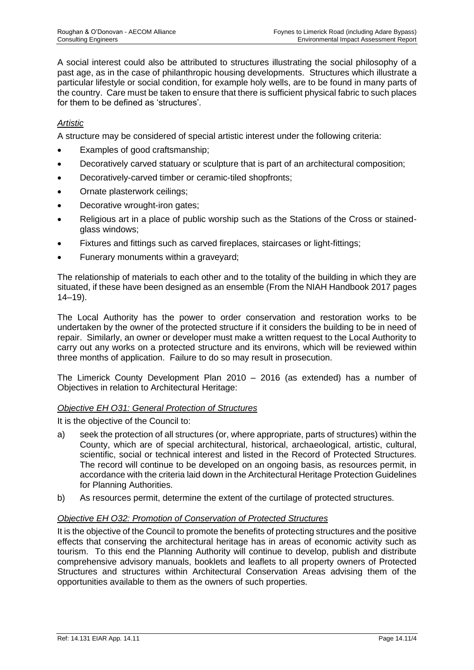A social interest could also be attributed to structures illustrating the social philosophy of a past age, as in the case of philanthropic housing developments. Structures which illustrate a particular lifestyle or social condition, for example holy wells, are to be found in many parts of the country. Care must be taken to ensure that there is sufficient physical fabric to such places for them to be defined as 'structures'.

# *Artistic*

A structure may be considered of special artistic interest under the following criteria:

- Examples of good craftsmanship;
- Decoratively carved statuary or sculpture that is part of an architectural composition;
- Decoratively-carved timber or ceramic-tiled shopfronts;
- Ornate plasterwork ceilings;
- Decorative wrought-iron gates:
- Religious art in a place of public worship such as the Stations of the Cross or stainedglass windows;
- Fixtures and fittings such as carved fireplaces, staircases or light-fittings;
- Funerary monuments within a graveyard;

The relationship of materials to each other and to the totality of the building in which they are situated, if these have been designed as an ensemble (From the NIAH Handbook 2017 pages  $14-19$ ).

The Local Authority has the power to order conservation and restoration works to be undertaken by the owner of the protected structure if it considers the building to be in need of repair. Similarly, an owner or developer must make a written request to the Local Authority to carry out any works on a protected structure and its environs, which will be reviewed within three months of application. Failure to do so may result in prosecution.

The Limerick County Development Plan 2010 – 2016 (as extended) has a number of Objectives in relation to Architectural Heritage:

#### *Objective EH O31: General Protection of Structures*

It is the objective of the Council to:

- a) seek the protection of all structures (or, where appropriate, parts of structures) within the County, which are of special architectural, historical, archaeological, artistic, cultural, scientific, social or technical interest and listed in the Record of Protected Structures. The record will continue to be developed on an ongoing basis, as resources permit, in accordance with the criteria laid down in the Architectural Heritage Protection Guidelines for Planning Authorities.
- b) As resources permit, determine the extent of the curtilage of protected structures.

#### *Objective EH O32: Promotion of Conservation of Protected Structures*

It is the objective of the Council to promote the benefits of protecting structures and the positive effects that conserving the architectural heritage has in areas of economic activity such as tourism. To this end the Planning Authority will continue to develop, publish and distribute comprehensive advisory manuals, booklets and leaflets to all property owners of Protected Structures and structures within Architectural Conservation Areas advising them of the opportunities available to them as the owners of such properties.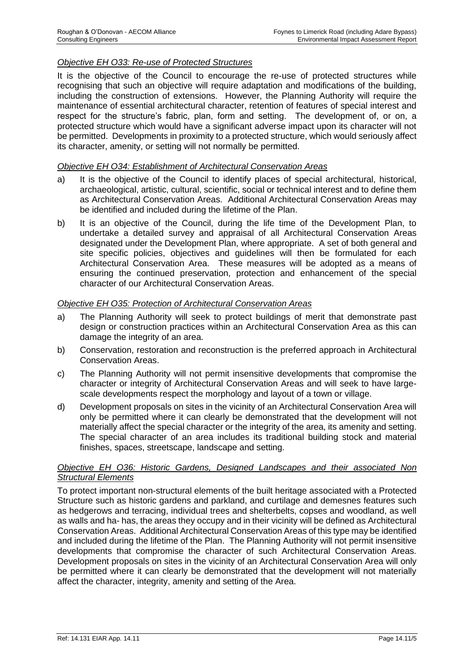# *Objective EH O33: Re-use of Protected Structures*

It is the objective of the Council to encourage the re-use of protected structures while recognising that such an objective will require adaptation and modifications of the building, including the construction of extensions. However, the Planning Authority will require the maintenance of essential architectural character, retention of features of special interest and respect for the structure's fabric, plan, form and setting. The development of, or on, a protected structure which would have a significant adverse impact upon its character will not be permitted. Developments in proximity to a protected structure, which would seriously affect its character, amenity, or setting will not normally be permitted.

#### *Objective EH O34: Establishment of Architectural Conservation Areas*

- a) It is the objective of the Council to identify places of special architectural, historical, archaeological, artistic, cultural, scientific, social or technical interest and to define them as Architectural Conservation Areas. Additional Architectural Conservation Areas may be identified and included during the lifetime of the Plan.
- b) It is an objective of the Council, during the life time of the Development Plan, to undertake a detailed survey and appraisal of all Architectural Conservation Areas designated under the Development Plan, where appropriate. A set of both general and site specific policies, objectives and guidelines will then be formulated for each Architectural Conservation Area. These measures will be adopted as a means of ensuring the continued preservation, protection and enhancement of the special character of our Architectural Conservation Areas.

#### *Objective EH O35: Protection of Architectural Conservation Areas*

- a) The Planning Authority will seek to protect buildings of merit that demonstrate past design or construction practices within an Architectural Conservation Area as this can damage the integrity of an area.
- b) Conservation, restoration and reconstruction is the preferred approach in Architectural Conservation Areas.
- c) The Planning Authority will not permit insensitive developments that compromise the character or integrity of Architectural Conservation Areas and will seek to have largescale developments respect the morphology and layout of a town or village.
- d) Development proposals on sites in the vicinity of an Architectural Conservation Area will only be permitted where it can clearly be demonstrated that the development will not materially affect the special character or the integrity of the area, its amenity and setting. The special character of an area includes its traditional building stock and material finishes, spaces, streetscape, landscape and setting.

#### *Objective EH O36: Historic Gardens, Designed Landscapes and their associated Non Structural Elements*

To protect important non-structural elements of the built heritage associated with a Protected Structure such as historic gardens and parkland, and curtilage and demesnes features such as hedgerows and terracing, individual trees and shelterbelts, copses and woodland, as well as walls and ha- has, the areas they occupy and in their vicinity will be defined as Architectural Conservation Areas. Additional Architectural Conservation Areas of this type may be identified and included during the lifetime of the Plan. The Planning Authority will not permit insensitive developments that compromise the character of such Architectural Conservation Areas. Development proposals on sites in the vicinity of an Architectural Conservation Area will only be permitted where it can clearly be demonstrated that the development will not materially affect the character, integrity, amenity and setting of the Area.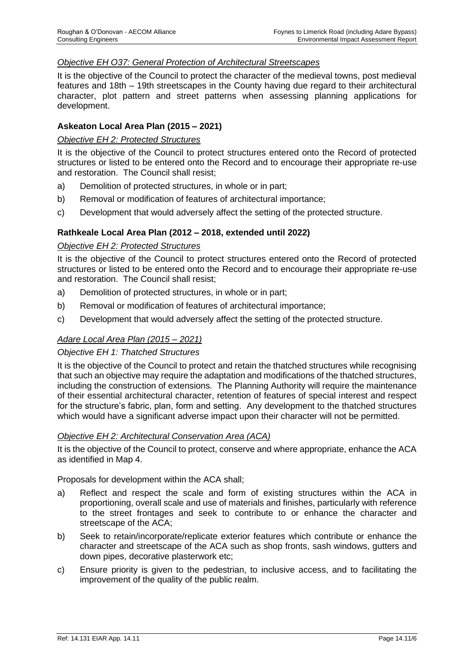# *Objective EH O37: General Protection of Architectural Streetscapes*

It is the objective of the Council to protect the character of the medieval towns, post medieval features and 18th – 19th streetscapes in the County having due regard to their architectural character, plot pattern and street patterns when assessing planning applications for development.

# **Askeaton Local Area Plan (2015 – 2021)**

#### *Objective EH 2: Protected Structures*

It is the objective of the Council to protect structures entered onto the Record of protected structures or listed to be entered onto the Record and to encourage their appropriate re-use and restoration. The Council shall resist;

- a) Demolition of protected structures, in whole or in part;
- b) Removal or modification of features of architectural importance;
- c) Development that would adversely affect the setting of the protected structure.

#### **Rathkeale Local Area Plan (2012 – 2018, extended until 2022)**

#### *Objective EH 2: Protected Structures*

It is the objective of the Council to protect structures entered onto the Record of protected structures or listed to be entered onto the Record and to encourage their appropriate re-use and restoration. The Council shall resist;

- a) Demolition of protected structures, in whole or in part;
- b) Removal or modification of features of architectural importance;
- c) Development that would adversely affect the setting of the protected structure.

# *Adare Local Area Plan (2015 – 2021)*

#### *Objective EH 1: Thatched Structures*

It is the objective of the Council to protect and retain the thatched structures while recognising that such an objective may require the adaptation and modifications of the thatched structures, including the construction of extensions. The Planning Authority will require the maintenance of their essential architectural character, retention of features of special interest and respect for the structure's fabric, plan, form and setting. Any development to the thatched structures which would have a significant adverse impact upon their character will not be permitted.

#### *Objective EH 2: Architectural Conservation Area (ACA)*

It is the objective of the Council to protect, conserve and where appropriate, enhance the ACA as identified in Map 4.

Proposals for development within the ACA shall;

- a) Reflect and respect the scale and form of existing structures within the ACA in proportioning, overall scale and use of materials and finishes, particularly with reference to the street frontages and seek to contribute to or enhance the character and streetscape of the ACA;
- b) Seek to retain/incorporate/replicate exterior features which contribute or enhance the character and streetscape of the ACA such as shop fronts, sash windows, gutters and down pipes, decorative plasterwork etc;
- c) Ensure priority is given to the pedestrian, to inclusive access, and to facilitating the improvement of the quality of the public realm.